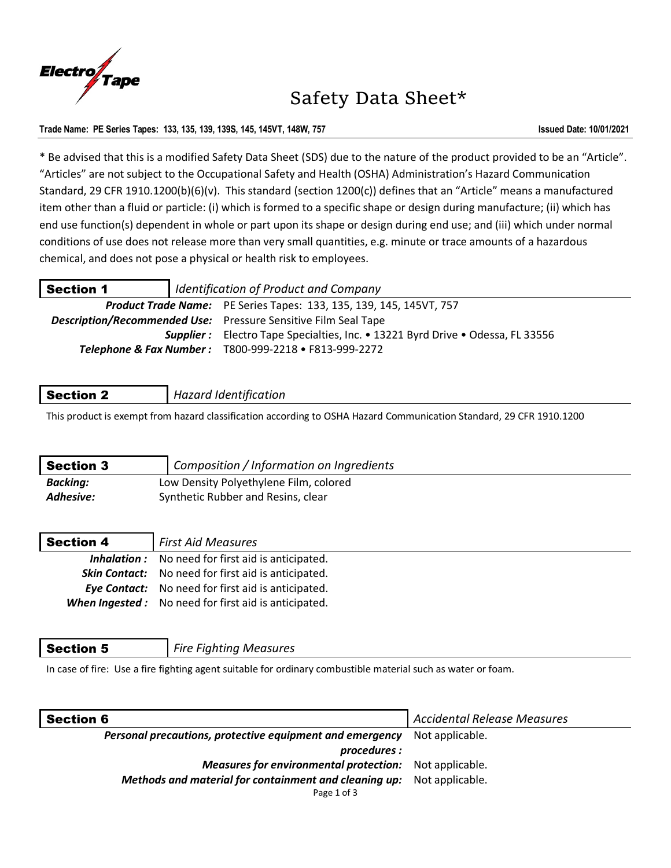

# Safety Data Sheet\*

# **Trade Name: PE Series Tapes: 133, 135, 139, 139S, 145, 145VT, 148W, 757 Issued Date: 10/01/2021**

\* Be advised that this is a modified Safety Data Sheet (SDS) due to the nature of the product provided to be an "Article". "Articles" are not subject to the Occupational Safety and Health (OSHA) Administration's Hazard Communication Standard, 29 CFR 1910.1200(b)(6)(v). This standard (section 1200(c)) defines that an "Article" means a manufactured item other than a fluid or particle: (i) which is formed to a specific shape or design during manufacture; (ii) which has end use function(s) dependent in whole or part upon its shape or design during end use; and (iii) which under normal conditions of use does not release more than very small quantities, e.g. minute or trace amounts of a hazardous chemical, and does not pose a physical or health risk to employees.

| <b>Section 1</b> | Identification of Product and Company |                                                                                       |
|------------------|---------------------------------------|---------------------------------------------------------------------------------------|
|                  |                                       | <b>Product Trade Name:</b> PE Series Tapes: 133, 135, 139, 145, 145VT, 757            |
|                  |                                       | <b>Description/Recommended Use:</b> Pressure Sensitive Film Seal Tape                 |
|                  |                                       | <b>Supplier:</b> Electro Tape Specialties, Inc. • 13221 Byrd Drive • Odessa, FL 33556 |
|                  |                                       | Telephone & Fax Number: T800-999-2218 • F813-999-2272                                 |

# Section 2 *Hazard Identification*

This product is exempt from hazard classification according to OSHA Hazard Communication Standard, 29 CFR 1910.1200

| <b>Section 3</b> | Composition / Information on Ingredients |
|------------------|------------------------------------------|
| <b>Backing:</b>  | Low Density Polyethylene Film, colored   |
| Adhesive:        | Synthetic Rubber and Resins, clear       |

| <b>Section 4</b> | <b>First Aid Measures</b>                                   |
|------------------|-------------------------------------------------------------|
|                  | <b>Inhalation:</b> No need for first aid is anticipated.    |
|                  | <b>Skin Contact:</b> No need for first aid is anticipated.  |
|                  | <b>Eye Contact:</b> No need for first aid is anticipated.   |
|                  | <b>When Ingested:</b> No need for first aid is anticipated. |

| Section 5 | <b>Fire Fighting Measures</b> |
|-----------|-------------------------------|
|-----------|-------------------------------|

In case of fire: Use a fire fighting agent suitable for ordinary combustible material such as water or foam.

| <b>Section 6</b>                                                      | <b>Accidental Release Measures</b> |
|-----------------------------------------------------------------------|------------------------------------|
| Personal precautions, protective equipment and emergency              | Not applicable.                    |
| procedures :                                                          |                                    |
| <b>Measures for environmental protection:</b> Not applicable.         |                                    |
| Methods and material for containment and cleaning up: Not applicable. |                                    |
| Page 1 of 3                                                           |                                    |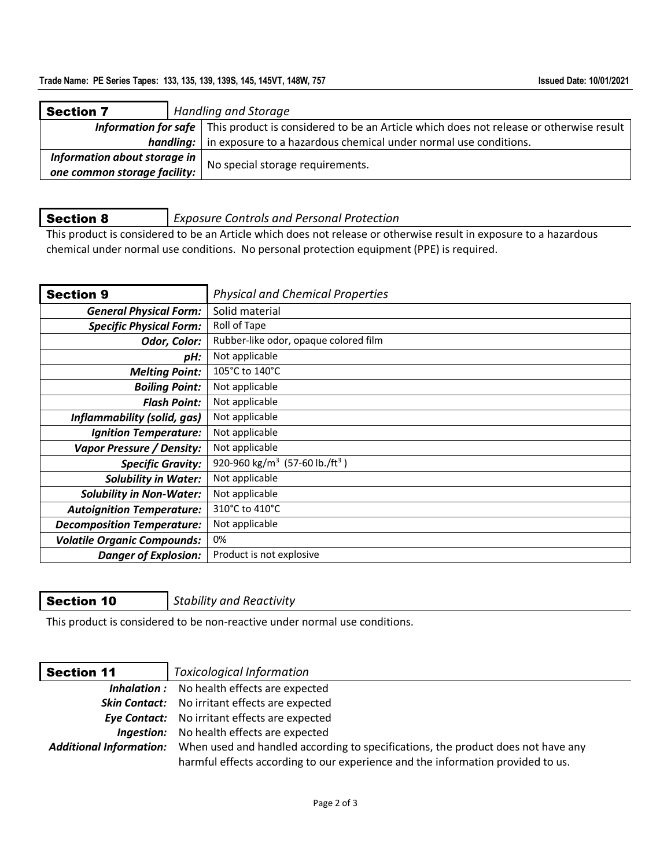## Trade Name: PE Series Tapes: 133, 135, 139, 139S, 145, 145VT, 148W, 757 **Issued Date: 10/01/2021**

| <b>Section 7</b>             | <b>Handling and Storage</b> |                                                                                                                    |  |
|------------------------------|-----------------------------|--------------------------------------------------------------------------------------------------------------------|--|
|                              |                             | <b>Information for safe</b> This product is considered to be an Article which does not release or otherwise result |  |
|                              |                             | <b>handling:</b> in exposure to a hazardous chemical under normal use conditions.                                  |  |
| Information about storage in |                             | No special storage requirements.                                                                                   |  |
| one common storage facility: |                             |                                                                                                                    |  |

Section 8 *Exposure Controls and Personal Protection*

This product is considered to be an Article which does not release or otherwise result in exposure to a hazardous chemical under normal use conditions. No personal protection equipment (PPE) is required.

| <b>Section 9</b>                   | <b>Physical and Chemical Properties</b>                |
|------------------------------------|--------------------------------------------------------|
| <b>General Physical Form:</b>      | Solid material                                         |
| <b>Specific Physical Form:</b>     | Roll of Tape                                           |
| Odor, Color:                       | Rubber-like odor, opaque colored film                  |
| pH:                                | Not applicable                                         |
| <b>Melting Point:</b>              | 105°C to 140°C                                         |
| <b>Boiling Point:</b>              | Not applicable                                         |
| <b>Flash Point:</b>                | Not applicable                                         |
| Inflammability (solid, gas)        | Not applicable                                         |
| <b>Ignition Temperature:</b>       | Not applicable                                         |
| Vapor Pressure / Density:          | Not applicable                                         |
| <b>Specific Gravity:</b>           | 920-960 kg/m <sup>3</sup> (57-60 lb./ft <sup>3</sup> ) |
| <b>Solubility in Water:</b>        | Not applicable                                         |
| <b>Solubility in Non-Water:</b>    | Not applicable                                         |
| <b>Autoignition Temperature:</b>   | 310°C to 410°C                                         |
| <b>Decomposition Temperature:</b>  | Not applicable                                         |
| <b>Volatile Organic Compounds:</b> | 0%                                                     |
| <b>Danger of Explosion:</b>        | Product is not explosive                               |

Section 10 *Stability and Reactivity*

This product is considered to be non-reactive under normal use conditions.

| <b>Section 11</b> | <b>Toxicological Information</b>                                                                                                                                                            |
|-------------------|---------------------------------------------------------------------------------------------------------------------------------------------------------------------------------------------|
|                   | <b>Inhalation:</b> No health effects are expected                                                                                                                                           |
|                   | <b>Skin Contact:</b> No irritant effects are expected                                                                                                                                       |
|                   | <b>Eye Contact:</b> No irritant effects are expected                                                                                                                                        |
|                   | Ingestion: No health effects are expected                                                                                                                                                   |
|                   | Additional Information: When used and handled according to specifications, the product does not have any<br>harmful effects according to our experience and the information provided to us. |